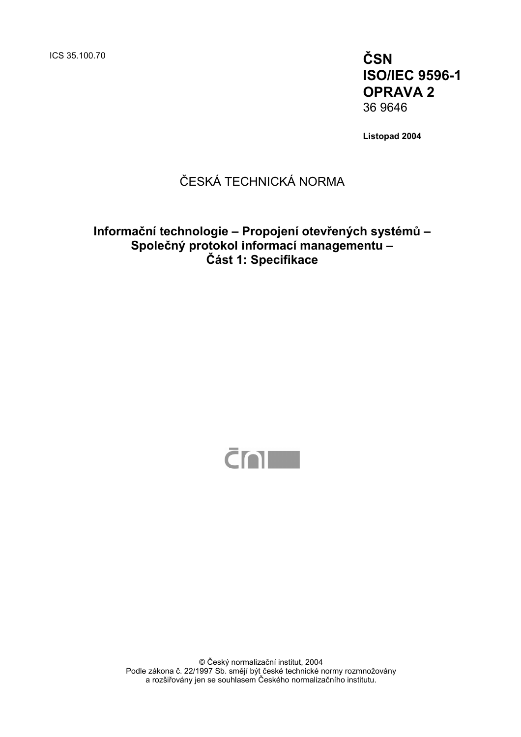ICS 35.100.70 **ČSN** 

**ISO/IEC 9596-1 OPRAVA 2**  36 9646

**Listopad 2004** 

# ČESKÁ TECHNICKÁ NORMA

# **Informační technologie – Propojení otevřených systémů – Společný protokol informací managementu – Část 1: Specifikace**



© Český normalizační institut, 2004 Podle zákona č. 22/1997 Sb. smějí být české technické normy rozmnožovány a rozšiřovány jen se souhlasem Českého normalizačního institutu.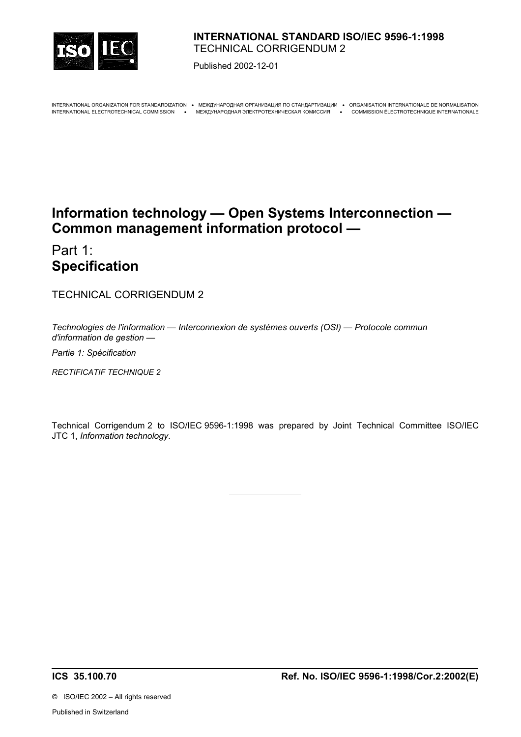

## **INTERNATIONAL STANDARD ISO/IEC 9596-1:1998**  TECHNICAL CORRIGENDUM 2

Published 2002-12-01

INTERNATIONAL ORGANIZATION FOR STANDARDIZATION • МЕЖДУНАРОДНАЯ ОРГАНИЗАЦИЯ ПО СТАНДАРТИЗАЦИИ • ORGANISATION INTERNATIONALE DE NORMALISATION

INTERNATIONAL ELECTROTECHNICAL COMMISSION • МЕЖДУНАРОДНАЯ ЭЛЕКТРОТЕХНИЧЕСКАЯ КОМИССИЯ • COMMISSION ÉLECTROTECHNIQUE INTERNATIONALE

# **Information technology — Open Systems Interconnection — Common management information protocol —**

Part 1: **Specification** 

TECHNICAL CORRIGENDUM 2

*Technologies de l'information — Interconnexion de systèmes ouverts (OSI) — Protocole commun d'information de gestion —*

*Partie 1: Spécification*

*RECTIFICATIF TECHNIQUE 2*

Technical Corrigendum 2 to ISO/IEC 9596-1:1998 was prepared by Joint Technical Committee ISO/IEC JTC 1, *Information technology*.

**ICS 35.100.70 Ref. No. ISO/IEC 9596-1:1998/Cor.2:2002(E)**

©ISO/IEC 2002 – All rights reserved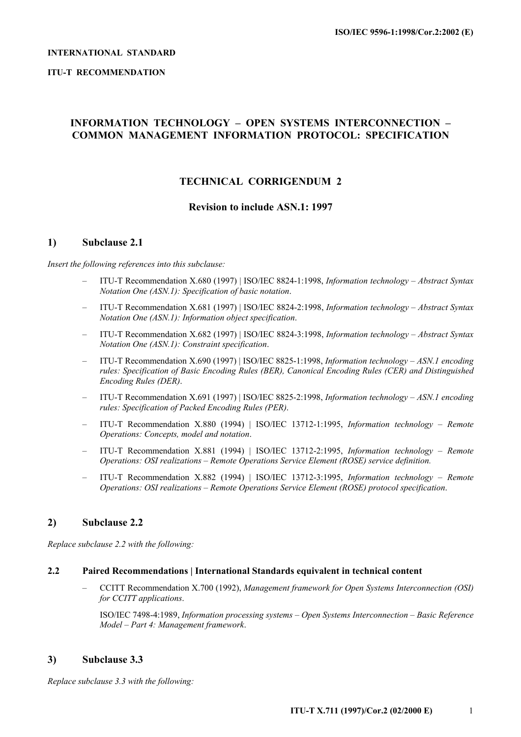#### **INTERNATIONAL STANDARD**

#### **ITU-T RECOMMENDATION**

## **INFORMATION TECHNOLOGY – OPEN SYSTEMS INTERCONNECTION – COMMON MANAGEMENT INFORMATION PROTOCOL: SPECIFICATION**

## **TECHNICAL CORRIGENDUM 2**

## **Revision to include ASN.1: 1997**

#### **1) Subclause 2.1**

#### *Insert the following references into this subclause:*

- ITU-T Recommendation X.680 (1997) | ISO/IEC 8824-1:1998, *Information technology Abstract Syntax Notation One (ASN.1): Specification of basic notation*.
- ITU-T Recommendation X.681 (1997) | ISO/IEC 8824-2:1998, *Information technology Abstract Syntax Notation One (ASN.1): Information object specification*.
- ITU-T Recommendation X.682 (1997) | ISO/IEC 8824-3:1998, *Information technology Abstract Syntax Notation One (ASN.1): Constraint specification*.
- ITU-T Recommendation X.690 (1997) | ISO/IEC 8825-1:1998, *Information technology ASN.1 encoding rules: Specification of Basic Encoding Rules (BER), Canonical Encoding Rules (CER) and Distinguished Encoding Rules (DER)*.
- ITU-T Recommendation X.691 (1997) | ISO/IEC 8825-2:1998, *Information technology ASN.1 encoding rules: Specification of Packed Encoding Rules (PER)*.
- ITU-T Recommendation X.880 (1994) | ISO/IEC 13712-1:1995, *Information technology Remote Operations: Concepts, model and notation*.
- ITU-T Recommendation X.881 (1994) | ISO/IEC 13712-2:1995, *Information technology Remote Operations: OSI realizations – Remote Operations Service Element (ROSE) service definition.*
- ITU-T Recommendation X.882 (1994) | ISO/IEC 13712-3:1995, *Information technology Remote Operations: OSI realizations – Remote Operations Service Element (ROSE) protocol specification*.

## **2) Subclause 2.2**

*Replace subclause 2.2 with the following:* 

## **2.2 Paired Recommendations | International Standards equivalent in technical content**

– CCITT Recommendation X.700 (1992), *Management framework for Open Systems Interconnection (OSI) for CCITT applications*.

 ISO/IEC 7498-4:1989, *Information processing systems – Open Systems Interconnection – Basic Reference Model – Part 4: Management framework*.

## **3) Subclause 3.3**

*Replace subclause 3.3 with the following:*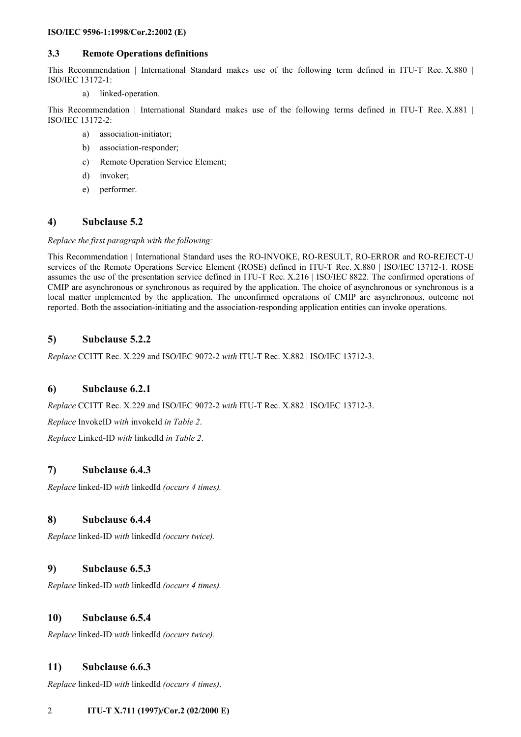#### **3.3 Remote Operations definitions**

This Recommendation | International Standard makes use of the following term defined in ITU-T Rec. X.880 | ISO/IEC 13172-1:

a) linked-operation.

This Recommendation | International Standard makes use of the following terms defined in ITU-T Rec. X.881 | ISO/IEC 13172-2:

- a) association-initiator;
- b) association-responder;
- c) Remote Operation Service Element;
- d) invoker;
- e) performer.

## **4) Subclause 5.2**

#### *Replace the first paragraph with the following:*

This Recommendation | International Standard uses the RO-INVOKE, RO-RESULT, RO-ERROR and RO-REJECT-U services of the Remote Operations Service Element (ROSE) defined in ITU-T Rec. X.880 | ISO/IEC 13712-1. ROSE assumes the use of the presentation service defined in ITU-T Rec. X.216 | ISO/IEC 8822. The confirmed operations of CMIP are asynchronous or synchronous as required by the application. The choice of asynchronous or synchronous is a local matter implemented by the application. The unconfirmed operations of CMIP are asynchronous, outcome not reported. Both the association-initiating and the association-responding application entities can invoke operations.

## **5) Subclause 5.2.2**

*Replace* CCITT Rec. X.229 and ISO/IEC 9072-2 *with* ITU-T Rec. X.882 | ISO/IEC 13712-3.

## **6) Subclause 6.2.1**

*Replace* CCITT Rec. X.229 and ISO/IEC 9072-2 *with* ITU-T Rec. X.882 | ISO/IEC 13712-3.

*Replace* InvokeID *with* invokeId *in Table 2*.

*Replace* Linked-ID *with* linkedId *in Table 2*.

## **7) Subclause 6.4.3**

*Replace* linked-ID *with* linkedId *(occurs 4 times).*

## **8) Subclause 6.4.4**

*Replace* linked-ID *with* linkedId *(occurs twice).*

## **9) Subclause 6.5.3**

*Replace* linked-ID *with* linkedId *(occurs 4 times).*

## **10) Subclause 6.5.4**

*Replace* linked-ID *with* linkedId *(occurs twice).*

## **11) Subclause 6.6.3**

*Replace* linked-ID *with* linkedId *(occurs 4 times)*.

## 2 **ITU-T X.711 (1997)/Cor.2 (02/2000 E)**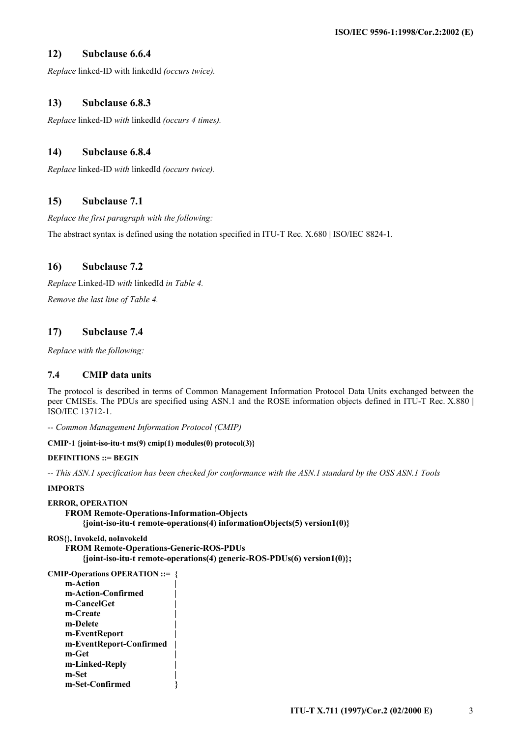## **12) Subclause 6.6.4**

*Replace* linked-ID with linkedId *(occurs twice).*

## **13) Subclause 6.8.3**

*Replace* linked-ID *with* linkedId *(occurs 4 times).*

## **14) Subclause 6.8.4**

*Replace* linked-ID *with* linkedId *(occurs twice).*

## **15) Subclause 7.1**

*Replace the first paragraph with the following:*

The abstract syntax is defined using the notation specified in ITU-T Rec. X.680 | ISO/IEC 8824-1.

## **16) Subclause 7.2**

*Replace* Linked-ID *with* linkedId *in Table 4. Remove the last line of Table 4.* 

## **17) Subclause 7.4**

*Replace with the following:* 

## **7.4 CMIP data units**

The protocol is described in terms of Common Management Information Protocol Data Units exchanged between the peer CMISEs. The PDUs are specified using ASN.1 and the ROSE information objects defined in ITU-T Rec. X.880 | ISO/IEC 13712-1.

*-- Common Management Information Protocol (CMIP)* 

#### **CMIP-1 {joint-iso-itu-t ms(9) cmip(1) modules(0) protocol(3)}**

#### **DEFINITIONS ::= BEGIN**

*-- This ASN.1 specification has been checked for conformance with the ASN.1 standard by the OSS ASN.1 Tools* 

#### **IMPORTS**

```
ERROR, OPERATION 
     FROM Remote-Operations-Information-Objects 
          {joint-iso-itu-t remote-operations(4) informationObjects(5) version1(0)}
```
## **ROS{}, InvokeId, noInvokeId**

 **FROM Remote-Operations-Generic-ROS-PDUs {joint-iso-itu-t remote-operations(4) generic-ROS-PDUs(6) version1(0)};** 

```
CMIP-Operations OPERATION ::= { 
     m-Action | 
     m-Action-Confirmed | 
     m-CancelGet | 
     m-Create | 
     m-Delete | 
     m-EventReport | 
     m-EventReport-Confirmed | 
     m-Get | 
     m-Linked-Reply | 
     m-Set | 
     m-Set-Confirmed }
```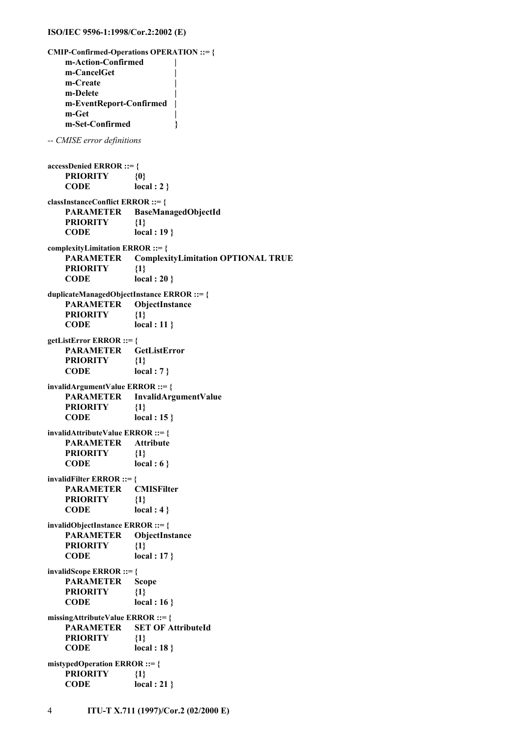```
CMIP-Confirmed-Operations OPERATION ::= { 
    m-Action-Confirmed | 
    m-CancelGet | 
    m-Create | 
    m-Delete | 
    m-EventReport-Confirmed | 
    m-Get | 
    m-Set-Confirmed } 
-- CMISE error definitions 
accessDenied ERROR ::= { 
    PRIORITY {0} 
    CODE local : 2 } 
classInstanceConflict ERROR ::= { 
    PARAMETER BaseManagedObjectId 
    PRIORITY {1} 
    CODE local : 19 } 
complexityLimitation ERROR ::= { 
    PARAMETER ComplexityLimitation OPTIONAL TRUE 
    PRIORITY {1} 
    CODE local : 20 } 
duplicateManagedObjectInstance ERROR ::= { 
    PARAMETER ObjectInstance 
    PRIORITY {1} 
    CODE local : 11 } 
getListError ERROR ::= { 
    PARAMETER GetListError 
    PRIORITY {1} 
    CODE local : 7 } 
invalidArgumentValue ERROR ::= { 
    PARAMETER InvalidArgumentValue 
    PRIORITY {1} 
    CODE local : 15 } 
invalidAttributeValue ERROR ::= { 
    PARAMETER Attribute 
    PRIORITY {1} 
    CODE local : 6 } 
invalidFilter ERROR ::= { 
    PARAMETER CMISFilter 
    PRIORITY {1} 
    CODE local : 4 } 
invalidObjectInstance ERROR ::= { 
    PARAMETER ObjectInstance 
    PRIORITY {1} 
    CODE local : 17 } 
invalidScope ERROR ::= { 
    PARAMETER Scope 
    PRIORITY {1} 
    CODE local : 16 } 
missingAttributeValue ERROR ::= { 
    PARAMETER SET OF AttributeId 
    PRIORITY {1} 
    CODE local : 18 } 
mistypedOperation ERROR ::= { 
    PRIORITY {1} 
    CODE local : 21 }
```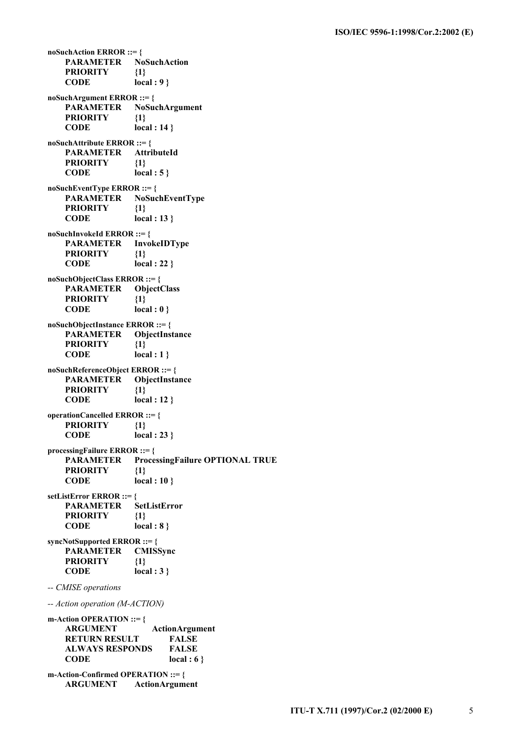**noSuchAction ERROR ::= { PARAMETER NoSuchAction PRIORITY {1} CODE local : 9 } noSuchArgument ERROR ::= { PARAMETER NoSuchArgument PRIORITY {1} CODE local : 14 } noSuchAttribute ERROR ::= { PARAMETER AttributeId PRIORITY {1} CODE local : 5 } noSuchEventType ERROR ::= { PARAMETER NoSuchEventType PRIORITY {1} CODE local : 13 } noSuchInvokeId ERROR ::= { PARAMETER InvokeIDType PRIORITY {1} CODE local : 22 } noSuchObjectClass ERROR ::= { PARAMETER ObjectClass PRIORITY {1} CODE local : 0 } noSuchObjectInstance ERROR ::= { PARAMETER ObjectInstance PRIORITY {1} CODE local : 1 } noSuchReferenceObject ERROR ::= { PARAMETER ObjectInstance PRIORITY {1} CODE local : 12 } operationCancelled ERROR ::= { PRIORITY {1} CODE local : 23 } processingFailure ERROR ::= { PARAMETER ProcessingFailure OPTIONAL TRUE PRIORITY {1} CODE local : 10 } setListError ERROR ::= { PARAMETER SetListError PRIORITY {1} CODE local : 8 } syncNotSupported ERROR ::= { PARAMETER CMISSync PRIORITY {1} CODE local : 3 }**  *-- CMISE operations -- Action operation (M-ACTION)*  **m-Action OPERATION ::= { ARGUMENT ActionArgument RETURN RESULT FALSE ALWAYS RESPONDS FALSE CODE local : 6 } m-Action-Confirmed OPERATION ::= { ARGUMENT ActionArgument**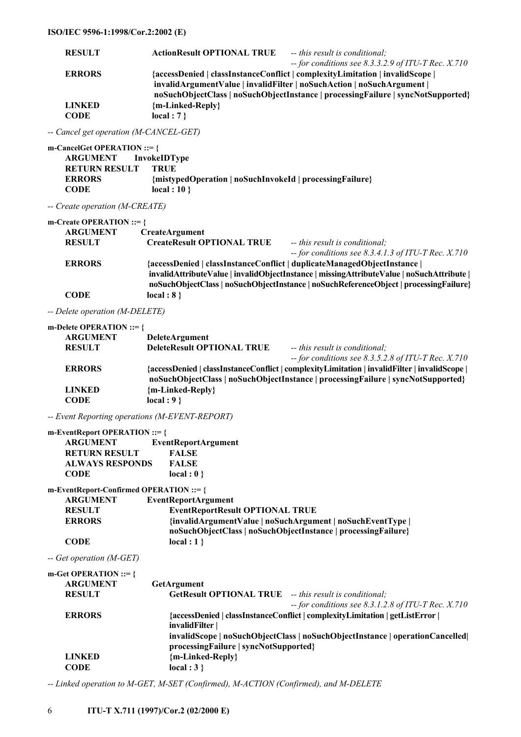| ISO/IEC 9596-1:1998/Cor.2:2002 (E)                       |                                                                                                                                                                                                                                                                                                     |                                                                                                                             |
|----------------------------------------------------------|-----------------------------------------------------------------------------------------------------------------------------------------------------------------------------------------------------------------------------------------------------------------------------------------------------|-----------------------------------------------------------------------------------------------------------------------------|
| <b>RESULT</b>                                            | <b>ActionResult OPTIONAL TRUE</b>                                                                                                                                                                                                                                                                   | -- this result is conditional;                                                                                              |
| <b>ERRORS</b>                                            | $-$ for conditions see 8.3.3.2.9 of ITU-T Rec. X.710<br>{accessDenied   classInstanceConflict   complexityLimitation   invalidScope  <br>invalidArgumentValue   invalidFilter   noSuchAction   noSuchArgument  <br>noSuchObjectClass   noSuchObjectInstance   processingFailure   syncNotSupported} |                                                                                                                             |
| <b>LINKED</b><br><b>CODE</b>                             | {m-Linked-Reply}<br>local : $7$ }                                                                                                                                                                                                                                                                   |                                                                                                                             |
| -- Cancel get operation (M-CANCEL-GET)                   |                                                                                                                                                                                                                                                                                                     |                                                                                                                             |
| m-CancelGet OPERATION ::= {                              |                                                                                                                                                                                                                                                                                                     |                                                                                                                             |
| <b>ARGUMENT</b><br><b>RETURN RESULT</b><br><b>ERRORS</b> | InvokeIDType<br><b>TRUE</b><br>{mistypedOperation   noSuchInvokeId   processingFailure}                                                                                                                                                                                                             |                                                                                                                             |
| <b>CODE</b>                                              | local : $10$ }                                                                                                                                                                                                                                                                                      |                                                                                                                             |
| -- Create operation (M-CREATE)                           |                                                                                                                                                                                                                                                                                                     |                                                                                                                             |
| m-Create OPERATION ::= $\{$                              |                                                                                                                                                                                                                                                                                                     |                                                                                                                             |
| <b>ARGUMENT</b><br><b>RESULT</b>                         | CreateArgument<br><b>CreateResult OPTIONAL TRUE</b>                                                                                                                                                                                                                                                 | -- this result is conditional;<br>$-$ for conditions see 8.3.4.1.3 of ITU-T Rec. X.710                                      |
| <b>ERRORS</b>                                            | {accessDenied   classInstanceConflict   duplicateManagedObjectInstance  <br>invalidAttributeValue   invalidObjectInstance   missingAttributeValue   noSuchAttribute  <br>noSuchObjectClass   noSuchObjectInstance   noSuchReferenceObject   processingFailure}                                      |                                                                                                                             |
| <b>CODE</b>                                              | local: 8                                                                                                                                                                                                                                                                                            |                                                                                                                             |
| -- Delete operation (M-DELETE)                           |                                                                                                                                                                                                                                                                                                     |                                                                                                                             |
| m-Delete OPERATION ::= $\{$                              |                                                                                                                                                                                                                                                                                                     |                                                                                                                             |
| <b>ARGUMENT</b><br><b>RESULT</b>                         | DeleteArgument<br><b>DeleteResult OPTIONAL TRUE</b>                                                                                                                                                                                                                                                 | -- this result is conditional;                                                                                              |
| <b>ERRORS</b>                                            | $-$ for conditions see 8.3.5.2.8 of ITU-T Rec. X.710<br>{accessDenied   classInstanceConflict   complexityLimitation   invalidFilter   invalidScope  <br>noSuchObjectClass   noSuchObjectInstance   processingFailure   syncNotSupported}                                                           |                                                                                                                             |
| <b>LINKED</b><br><b>CODE</b>                             | {m-Linked-Reply}<br>$local: 9$ }                                                                                                                                                                                                                                                                    |                                                                                                                             |
| -- Event Reporting operations (M-EVENT-REPORT)           |                                                                                                                                                                                                                                                                                                     |                                                                                                                             |
| m-EventReport OPERATION ::= {                            |                                                                                                                                                                                                                                                                                                     |                                                                                                                             |
| <b>ARGUMENT</b><br><b>RETURN RESULT</b>                  | <b>EventReportArgument</b><br><b>FALSE</b>                                                                                                                                                                                                                                                          |                                                                                                                             |
| <b>ALWAYS RESPONDS</b>                                   | <b>FALSE</b>                                                                                                                                                                                                                                                                                        |                                                                                                                             |
| <b>CODE</b>                                              | local : $0$ }                                                                                                                                                                                                                                                                                       |                                                                                                                             |
| m-EventReport-Confirmed OPERATION ::= {                  |                                                                                                                                                                                                                                                                                                     |                                                                                                                             |
| <b>ARGUMENT</b>                                          | <b>EventReportArgument</b>                                                                                                                                                                                                                                                                          |                                                                                                                             |
| <b>RESULT</b><br><b>ERRORS</b>                           | <b>EventReportResult OPTIONAL TRUE</b>                                                                                                                                                                                                                                                              | {invalidArgumentValue   noSuchArgument   noSuchEventType  <br>noSuchObjectClass   noSuchObjectInstance   processingFailure} |
| <b>CODE</b>                                              | local: 1                                                                                                                                                                                                                                                                                            |                                                                                                                             |
| $\alpha$ mm                                              |                                                                                                                                                                                                                                                                                                     |                                                                                                                             |

*-- Get operation (M-GET)* 

| m-Get OPERATION ::= $\{$ |                                                                              |  |
|--------------------------|------------------------------------------------------------------------------|--|
| <b>ARGUMENT</b>          | <b>GetArgument</b>                                                           |  |
| <b>RESULT</b>            | <b>GetResult OPTIONAL TRUE</b> -- this result is conditional;                |  |
|                          | $-$ for conditions see 8.3.1.2.8 of ITU-T Rec. X.710                         |  |
| <b>ERRORS</b>            | {accessDenied   classInstanceConflict   complexityLimitation   getListError  |  |
|                          | invalidFilter                                                                |  |
|                          | invalidScope   noSuchObjectClass   noSuchObjectInstance   operationCancelled |  |
|                          | processingFailure   syncNotSupported}                                        |  |
| <b>LINKED</b>            | {m-Linked-Reply}                                                             |  |
| <b>CODE</b>              | local : $3$ }                                                                |  |
|                          |                                                                              |  |

*-- Linked operation to M-GET, M-SET (Confirmed), M-ACTION (Confirmed), and M-DELETE*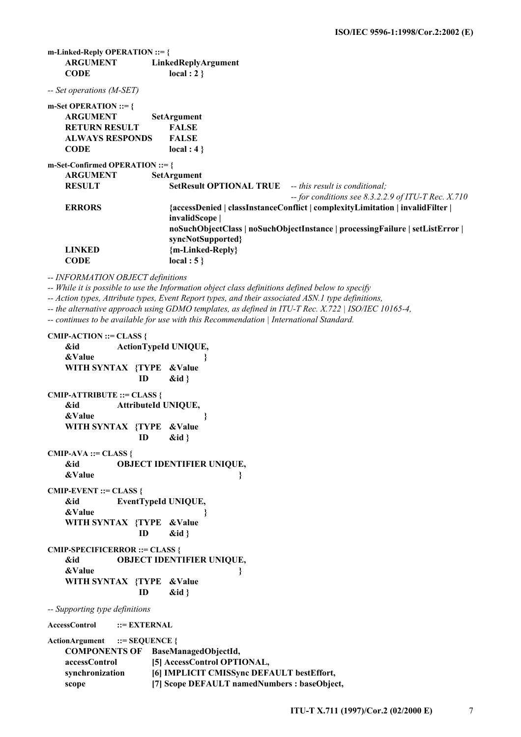**m-Linked-Reply OPERATION ::= { ARGUMENT LinkedReplyArgument CODE local : 2 }** 

*-- Set operations (M-SET)* 

| m-Set OPERATION ::= $\{$           |                                                                             |                                                                              |  |
|------------------------------------|-----------------------------------------------------------------------------|------------------------------------------------------------------------------|--|
| <b>ARGUMENT</b>                    | <b>SetArgument</b>                                                          |                                                                              |  |
| <b>RETURN RESULT</b>               | <b>FALSE</b>                                                                |                                                                              |  |
| <b>ALWAYS RESPONDS</b>             | <b>FALSE</b>                                                                |                                                                              |  |
| <b>CODE</b>                        | local: 4                                                                    |                                                                              |  |
| m-Set-Confirmed OPERATION ::= $\{$ |                                                                             |                                                                              |  |
| <b>ARGUMENT</b>                    | <b>SetArgument</b>                                                          |                                                                              |  |
| <b>RESULT</b>                      | <b>SetResult OPTIONAL TRUE</b> -- this result is conditional:               |                                                                              |  |
|                                    |                                                                             | $-$ for conditions see 8.3.2.2.9 of ITU-T Rec. X.710                         |  |
| <b>ERRORS</b>                      |                                                                             | {accessDenied   classInstanceConflict   complexityLimitation   invalidFilter |  |
|                                    | invalidScope                                                                |                                                                              |  |
|                                    | noSuchObjectClass   noSuchObjectInstance   processingFailure   setListError |                                                                              |  |
|                                    | syncNotSupported {                                                          |                                                                              |  |
| <b>LINKED</b>                      | {m-Linked-Reply}                                                            |                                                                              |  |
| CODE                               | local : $5$ }                                                               |                                                                              |  |

*-- INFORMATION OBJECT definitions* 

*-- While it is possible to use the Information object class definitions defined below to specify* 

*-- Action types, Attribute types, Event Report types, and their associated ASN.1 type definitions,* 

*-- the alternative approach using GDMO templates, as defined in ITU-T Rec. X.722 | ISO/IEC 10165-4,* 

*-- continues to be available for use with this Recommendation | International Standard.* 

# **CMIP-ACTION ::= CLASS { &id ActionTypeId UNIQUE, &Value } WITH SYNTAX {TYPE &Value ID &id } CMIP-ATTRIBUTE ::= CLASS { &id AttributeId UNIQUE, &Value } WITH SYNTAX {TYPE &Value ID &id } CMIP-AVA ::= CLASS { &id OBJECT IDENTIFIER UNIQUE, &Value** } *AValue* } *AValue* } **CMIP-EVENT ::= CLASS { &id EventTypeId UNIQUE, &Value } WITH SYNTAX {TYPE &Value ID &id } CMIP-SPECIFICERROR ::= CLASS { &id OBJECT IDENTIFIER UNIQUE, &Value** } *AValue* } *AValue* }  **WITH SYNTAX {TYPE &Value ID &id }**  *-- Supporting type definitions*  **AccessControl ::= EXTERNAL ActionArgument ::= SEQUENCE { COMPONENTS OF BaseManagedObjectId, accessControl [5] AccessControl OPTIONAL, synchronization [6] IMPLICIT CMISSync DEFAULT bestEffort, scope [7] Scope DEFAULT namedNumbers : baseObject,**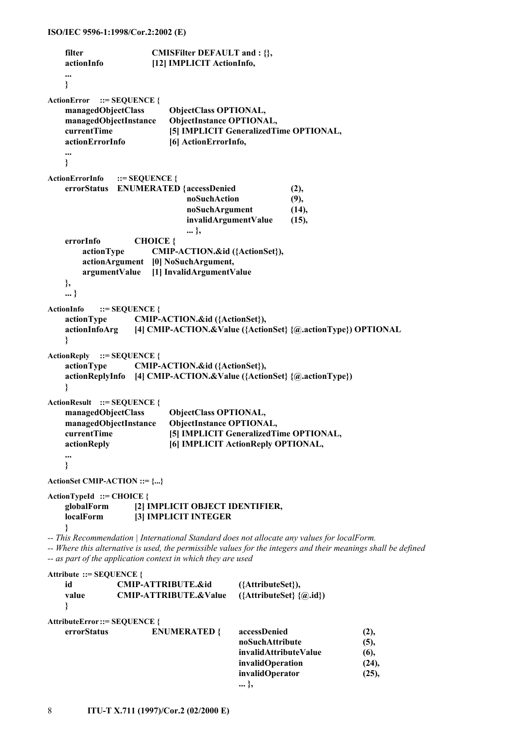```
filter CMISFilter DEFAULT and : {},
    actionInfo [12] IMPLICIT ActionInfo, 
    ... 
    } 
ActionError ::= SEQUENCE { 
    managedObjectClass ObjectClass OPTIONAL, 
    managedObjectInstance ObjectInstance OPTIONAL, 
    currentTime [5] IMPLICIT GeneralizedTime OPTIONAL, 
    actionErrorInfo [6] ActionErrorInfo, 
    ... 
    } 
ActionErrorInfo ::= SEQUENCE { 
    errorStatus ENUMERATED { accessDenied (2), 
                              noSuchAction (9), 
                              noSuchArgument (14), 
                              invalidArgumentValue (15), 
... },
    errorInfo CHOICE { 
        actionType CMIP-ACTION.&id ({ActionSet}), 
        actionArgument [0] NoSuchArgument, 
        argumentValue [1] InvalidArgumentValue 
    }, 
    ... } 
ActionInfo ::= SEQUENCE { 
    actionType CMIP-ACTION.&id ({ActionSet}), 
    actionInfoArg [4] CMIP-ACTION.&Value ({ActionSet} {@.actionType}) OPTIONAL 
    } 
ActionReply ::= SEQUENCE { 
    actionType CMIP-ACTION.&id ({ActionSet}), 
    actionReplyInfo [4] CMIP-ACTION.&Value ({ActionSet} {@.actionType}) 
    } 
ActionResult ::= SEQUENCE { 
    managedObjectClass ObjectClass OPTIONAL, 
    managedObjectInstance ObjectInstance OPTIONAL, 
    currentTime [5] IMPLICIT GeneralizedTime OPTIONAL, 
    actionReply [6] IMPLICIT ActionReply OPTIONAL, 
    ... 
    } 
ActionSet CMIP-ACTION ::= {...} 
ActionTypeId ::= CHOICE { 
    globalForm [2] IMPLICIT OBJECT IDENTIFIER, 
    localForm [3] IMPLICIT INTEGER 
    } 
-- This Recommendation | International Standard does not allocate any values for localForm. 
-- as part of the application context in which they are used 
Attribute ::= SEQUENCE { 
    id CMIP-ATTRIBUTE.&id ({AttributeSet}), 
 value CMIP-ATTRIBUTE.&Value ({AttributeSet} {@.id}) 
 } 
AttributeError ::= SEQUENCE { 
 errorStatus ENUMERATED { accessDenied (2), 
noSuchAttribute (5),
```
*-- Where this alternative is used, the permissible values for the integers and their meanings shall be defined* 

| value                        | <b>CMIP-ATTRIBUTE.&amp;Value</b> | $({\text{AttributeSet}} {\mathcal{Q}, id})$ |       |
|------------------------------|----------------------------------|---------------------------------------------|-------|
| AttributeError::= SEQUENCE { |                                  |                                             |       |
| errorStatus                  | <b>ENUMERATED {</b>              | accessDenied                                | (2),  |
|                              |                                  | noSuchAttribute                             | (5),  |
|                              |                                  | invalidAttributeValue                       | (6),  |
|                              |                                  | invalidOperation                            | (24), |
|                              |                                  | invalidOperator                             | (25), |
|                              |                                  | $ \nbrace$                                  |       |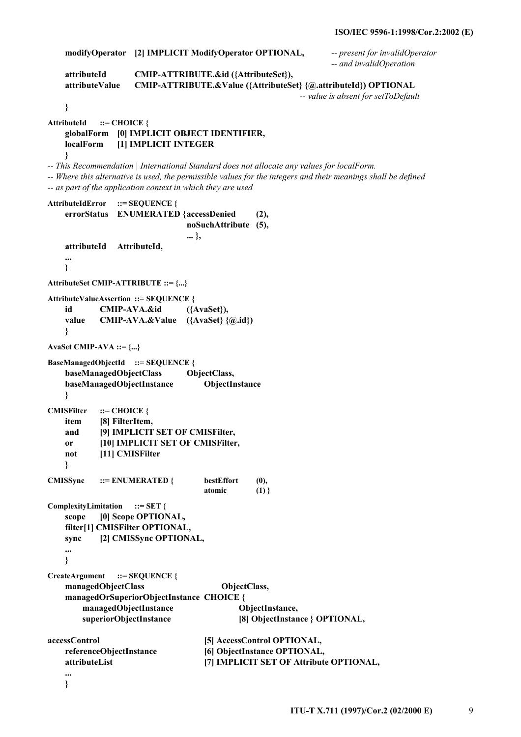```
 modifyOperator [2] IMPLICIT ModifyOperator OPTIONAL, -- present for invalidOperator 
                                                                 -- and invalidOperation 
    attributeId CMIP-ATTRIBUTE.&id ({AttributeSet}), 
    attributeValue CMIP-ATTRIBUTE.&Value ({AttributeSet} {@.attributeId}) OPTIONAL 
                                                         -- value is absent for setToDefault 
    } 
AttributeId ::= CHOICE { 
    globalForm [0] IMPLICIT OBJECT IDENTIFIER, 
    localForm [1] IMPLICIT INTEGER 
    } 
-- This Recommendation | International Standard does not allocate any values for localForm. 
-- Where this alternative is used, the permissible values for the integers and their meanings shall be defined 
-- as part of the application context in which they are used 
AttributeIdError ::= SEQUENCE { 
    errorStatus ENUMERATED { accessDenied (2), 
                                noSuchAttribute (5), 
... },
    attributeId AttributeId, 
    ... 
    } 
AttributeSet CMIP-ATTRIBUTE ::= {...} 
AttributeValueAssertion ::= SEQUENCE { 
    id CMIP-AVA.&id ({AvaSet}), 
    value CMIP-AVA.&Value ({AvaSet} {@.id}) 
    } 
AvaSet CMIP-AVA ::= {...} 
BaseManagedObjectId ::= SEQUENCE { 
    baseManagedObjectClass ObjectClass, 
    baseManagedObjectInstance ObjectInstance 
    } 
CMISFilter ::= CHOICE { 
    item [8] FilterItem, 
    and [9] IMPLICIT SET OF CMISFilter, 
    or [10] IMPLICIT SET OF CMISFilter, 
    not [11] CMISFilter 
    } 
CMISSync ::= ENUMERATED { bestEffort (0),
atomic (1) }
ComplexityLimitation ::= SET { 
    scope [0] Scope OPTIONAL, 
    filter[1] CMISFilter OPTIONAL, 
    sync [2] CMISSync OPTIONAL, 
     ... 
    } 
CreateArgument ::= SEQUENCE { 
    managedObjectClass ObjectClass, 
    managedOrSuperiorObjectInstance CHOICE { 
        managedObjectInstance ObjectInstance, 
        superiorObjectInstance [8] ObjectInstance } OPTIONAL, 
accessControl [5] AccessControl OPTIONAL, 
    referenceObjectInstance [6] ObjectInstance OPTIONAL, 
    attributeList [7] IMPLICIT SET OF Attribute OPTIONAL, 
    ...
```
 **}**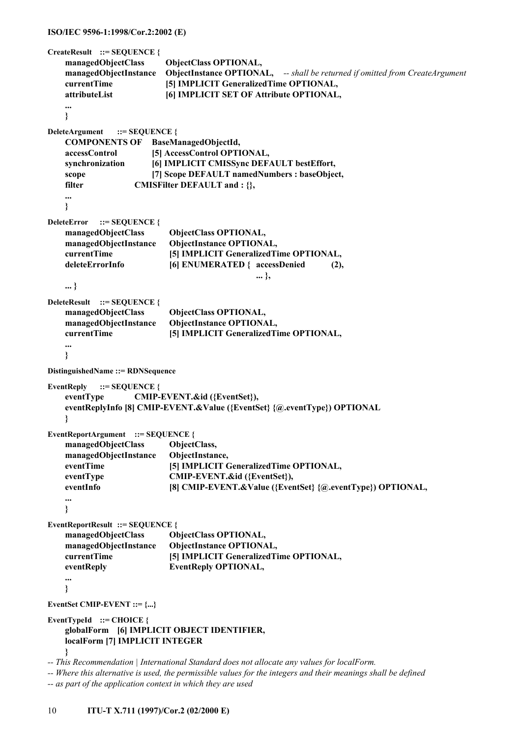```
ISO/IEC 9596-1:1998/Cor.2:2002 (E)
```

```
CreateResult ::= SEQUENCE { 
    managedObjectClass ObjectClass OPTIONAL, 
    managedObjectInstance ObjectInstance OPTIONAL, -- shall be returned if omitted from CreateArgument
    currentTime [5] IMPLICIT GeneralizedTime OPTIONAL, 
    attributeList [6] IMPLICIT SET OF Attribute OPTIONAL, 
 ... 
    } 
DeleteArgument ::= SEQUENCE { 
    COMPONENTS OF BaseManagedObjectId, 
    accessControl [5] AccessControl OPTIONAL, 
    synchronization [6] IMPLICIT CMISSync DEFAULT bestEffort, 
   scope [7] Scope DEFAULT namedNumbers : baseObject,
   filter CMISFilter DEFAULT and : {},
    ... 
    } 
DeleteError ::= SEQUENCE { 
    managedObjectClass ObjectClass OPTIONAL, 
    managedObjectInstance ObjectInstance OPTIONAL, 
    currentTime [5] IMPLICIT GeneralizedTime OPTIONAL, 
   deleteErrorInfo [6] ENUMERATED { accessDenied (2),
... },
    ... } 
DeleteResult ::= SEQUENCE { 
    managedObjectClass ObjectClass OPTIONAL, 
    managedObjectInstance ObjectInstance OPTIONAL, 
    currentTime [5] IMPLICIT GeneralizedTime OPTIONAL, 
    ... 
    } 
DistinguishedName ::= RDNSequence 
EventReply ::= SEQUENCE { 
    eventType CMIP-EVENT.&id ({EventSet}), 
    eventReplyInfo [8] CMIP-EVENT.&Value ({EventSet} {@.eventType}) OPTIONAL 
    } 
EventReportArgument ::= SEQUENCE { 
    managedObjectClass ObjectClass, 
    managedObjectInstance ObjectInstance, 
   eventTime [5] IMPLICIT GeneralizedTime OPTIONAL,
   eventType CMIP-EVENT.&id ({EventSet}),
   eventInfo [8] CMIP-EVENT. & Value ({EventSet} {@.eventType}) OPTIONAL,
    ... 
    } 
EventReportResult ::= SEQUENCE { 
    managedObjectClass ObjectClass OPTIONAL, 
    managedObjectInstance ObjectInstance OPTIONAL, 
    currentTime [5] IMPLICIT GeneralizedTime OPTIONAL, 
    eventReply EventReply OPTIONAL, 
 ... 
    } 
EventSet CMIP-EVENT ::= {...} 
EventTypeId ::= CHOICE { 
    globalForm [6] IMPLICIT OBJECT IDENTIFIER, 
    localForm [7] IMPLICIT INTEGER 
    } 
-- This Recommendation | International Standard does not allocate any values for localForm. 
-- Where this alternative is used, the permissible values for the integers and their meanings shall be defined
```

```
-- as part of the application context in which they are used
```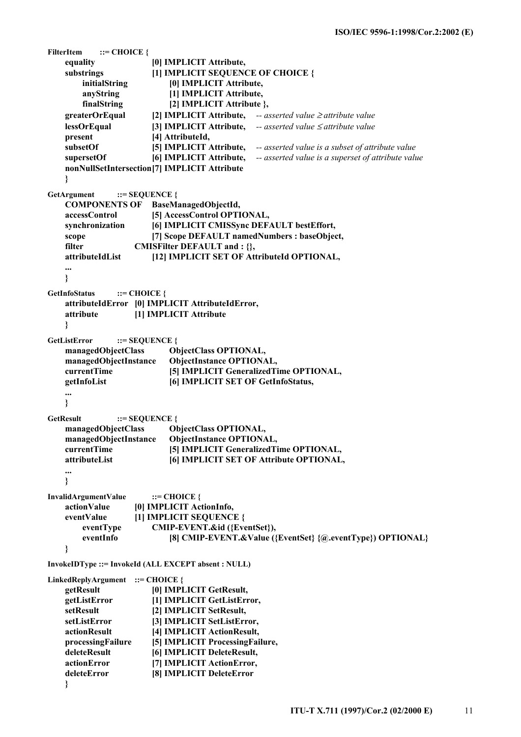```
FilterItem ::= CHOICE { 
    equality [0] IMPLICIT Attribute, 
    substrings [1] IMPLICIT SEQUENCE OF CHOICE { 
        initialString [0] IMPLICIT Attribute, 
        anyString [1] IMPLICIT Attribute, 
       finalString [2] IMPLICIT Attribute },
    greaterOrEqual [2] IMPLICIT Attribute, -- asserted value ≥ attribute value
    lessOrEqual [3] IMPLICIT Attribute, -- asserted value ≤ attribute value
   present [4] AttributeId,
    subsetOf [5] IMPLICIT Attribute, -- asserted value is a subset of attribute value
    supersetOf [6] IMPLICIT Attribute, -- asserted value is a superset of attribute value
    nonNullSetIntersection [7] IMPLICIT Attribute 
    } 
GetArgument ::= SEOUENCE {
    COMPONENTS OF BaseManagedObjectId, 
    accessControl [5] AccessControl OPTIONAL, 
    synchronization [6] IMPLICIT CMISSync DEFAULT bestEffort, 
   scope [7] Scope DEFAULT namedNumbers : baseObject,
   filter CMISFilter DEFAULT and : {},
    attributeIdList [12] IMPLICIT SET OF AttributeId OPTIONAL, 
    ... 
    } 
GetInfoStatus ::= CHOICE { 
    attributeIdError [0] IMPLICIT AttributeIdError, 
    attribute [1] IMPLICIT Attribute 
    } 
GetListError ::= SEQUENCE {
    managedObjectClass ObjectClass OPTIONAL, 
    managedObjectInstance ObjectInstance OPTIONAL, 
    currentTime [5] IMPLICIT GeneralizedTime OPTIONAL, 
    getInfoList [6] IMPLICIT SET OF GetInfoStatus, 
    ... 
    } 
GetResult ::= SEOUENCE {
    managedObjectClass ObjectClass OPTIONAL, 
    managedObjectInstance ObjectInstance OPTIONAL, 
    currentTime [5] IMPLICIT GeneralizedTime OPTIONAL, 
    attributeList [6] IMPLICIT SET OF Attribute OPTIONAL, 
    ... 
    } 
InvalidArgumentValue ::= CHOICE { 
    actionValue [0] IMPLICIT ActionInfo, 
    eventValue [1] IMPLICIT SEQUENCE { 
        eventType CMIP-EVENT.&id ({EventSet}), 
       eventInfo [8] CMIP-EVENT. & Value ({EventSet} {@.eventType}) OPTIONAL}
    } 
InvokeIDType ::= InvokeId (ALL EXCEPT absent : NULL) 
LinkedReplyArgument ::= CHOICE { 
    getResult [0] IMPLICIT GetResult, 
    getListError [1] IMPLICIT GetListError, 
    setResult [2] IMPLICIT SetResult, 
    setListError [3] IMPLICIT SetListError, 
    actionResult [4] IMPLICIT ActionResult, 
    processingFailure [5] IMPLICIT ProcessingFailure, 
    deleteResult [6] IMPLICIT DeleteResult, 
    actionError [7] IMPLICIT ActionError, 
    deleteError [8] IMPLICIT DeleteError
```

```
 }
```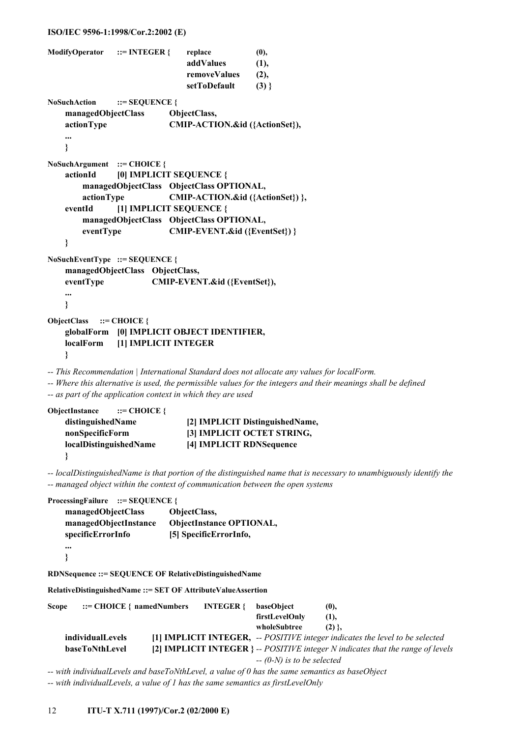#### **ISO/IEC 9596-1:1998/Cor.2:2002 (E)**

```
ModifyOperator ::= INTEGER { replace (0),
                                addValues (1), 
                                removeValues (2), 
                                setToDefault (3) } 
NoSuchAction ::= SEQUENCE { 
     managedObjectClass ObjectClass, 
     actionType CMIP-ACTION.&id ({ActionSet}), 
     ... 
     } 
NoSuchArgument ::= CHOICE { 
     actionId [0] IMPLICIT SEQUENCE { 
         managedObjectClass ObjectClass OPTIONAL, 
        actionType CMIP-ACTION.&id ({ActionSet}) }, 
     eventId [1] IMPLICIT SEQUENCE { 
        managedObjectClass ObjectClass OPTIONAL, 
        eventType CMIP-EVENT.&id ({EventSet}) } 
     } 
NoSuchEventType ::= SEQUENCE { 
     managedObjectClass ObjectClass, 
     eventType CMIP-EVENT.&id ({EventSet}), 
     ... 
     } 
ObjectClass ::= CHOICE { 
     globalForm [0] IMPLICIT OBJECT IDENTIFIER, 
     localForm [1] IMPLICIT INTEGER 
     } 
-- This Recommendation | International Standard does not allocate any values for localForm.
```
*-- Where this alternative is used, the permissible values for the integers and their meanings shall be defined -- as part of the application context in which they are used* 

```
ObjectInstance ::= CHOICE { 
    distinguishedName [2] IMPLICIT DistinguishedName, 
    nonSpecificForm [3] IMPLICIT OCTET STRING, 
    localDistinguishedName [4] IMPLICIT RDNSequence 
    }
```
*-- localDistinguishedName is that portion of the distinguished name that is necessary to unambiguously identify the -- managed object within the context of communication between the open systems* 

```
ProcessingFailure ::= SEQUENCE { 
     managedObjectClass ObjectClass, 
     managedObjectInstance ObjectInstance OPTIONAL, 
     specificErrorInfo [5] SpecificErrorInfo, 
     ... 
     } 
RDNSequence ::= SEQUENCE OF RelativeDistinguishedName 
RelativeDistinguishedName ::= SET OF AttributeValueAssertion 
Scope ::= CHOICE { namedNumbers INTEGER { baseObject (0),
                                                   firstLevelOnly (1), 
                                                  wholeSubtree (2) \},
     individualLevels [1] IMPLICIT INTEGER, -- POSITIVE integer indicates the level to be selected
     baseToNthLevel [2] IMPLICIT INTEGER } -- POSITIVE integer N indicates that the range of levels
```
 *-- (0-N) is to be selected* 

*-- with individualLevels and baseToNthLevel, a value of 0 has the same semantics as baseObject -- with individualLevels, a value of 1 has the same semantics as firstLevelOnly*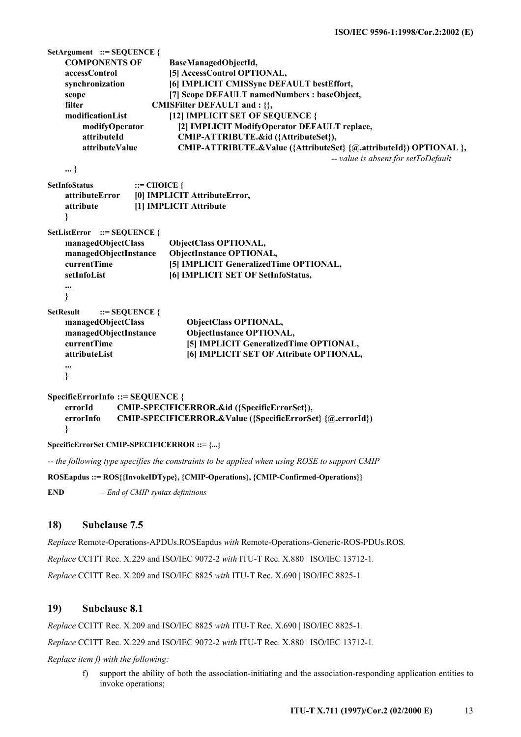```
SetArgument ::= SEQUENCE { 
    COMPONENTS OF BaseManagedObjectId, 
    accessControl [5] AccessControl OPTIONAL, 
    synchronization [6] IMPLICIT CMISSync DEFAULT bestEffort, 
   scope [7] Scope DEFAULT namedNumbers : baseObject,
   filter CMISFilter DEFAULT and : {},
    modificationList [12] IMPLICIT SET OF SEQUENCE { 
        modifyOperator [2] IMPLICIT ModifyOperator DEFAULT replace, 
        attributeId CMIP-ATTRIBUTE.&id ({AttributeSet}), 
        attributeValue CMIP-ATTRIBUTE.&Value ({AttributeSet} {@.attributeId}) OPTIONAL }, 
                                                              -- value is absent for setToDefault 
    ... } 
SetInfoStatus ::= CHOICE {
    attributeError [0] IMPLICIT AttributeError, 
    attribute [1] IMPLICIT Attribute 
    } 
SetListError ::= SEQUENCE { 
    managedObjectClass ObjectClass OPTIONAL, 
    managedObjectInstance ObjectInstance OPTIONAL, 
    currentTime [5] IMPLICIT GeneralizedTime OPTIONAL, 
    setInfoList [6] IMPLICIT SET OF SetInfoStatus, 
    ... 
    } 
SetResult ::= SEQUENCE { 
    managedObjectClass ObjectClass OPTIONAL, 
    managedObjectInstance ObjectInstance OPTIONAL, 
    currentTime [5] IMPLICIT GeneralizedTime OPTIONAL, 
    attributeList [6] IMPLICIT SET OF Attribute OPTIONAL, 
    ... 
    } 
SpecificErrorInfo ::= SEQUENCE { 
    errorId CMIP-SPECIFICERROR.&id ({SpecificErrorSet}), 
    errorInfo CMIP-SPECIFICERROR.&Value ({SpecificErrorSet} {@.errorId}) 
    } 
SpecificErrorSet CMIP-SPECIFICERROR ::= {...} 
-- the following type specifies the constraints to be applied when using ROSE to support CMIP
```
**ROSEapdus ::= ROS{{InvokeIDType}, {CMIP-Operations}, {CMIP-Confirmed-Operations}}** 

**END** *-- End of CMIP syntax definitions*

## **18) Subclause 7.5**

*Replace* Remote-Operations-APDUs.ROSEapdus *with* Remote-Operations-Generic-ROS-PDUs.ROS*.*

*Replace* CCITT Rec. X.229 and ISO/IEC 9072-2 *with* ITU-T Rec. X.880 | ISO/IEC 13712-1*.*

*Replace* CCITT Rec. X.209 and ISO/IEC 8825 *with* ITU-T Rec. X.690 | ISO/IEC 8825-1*.*

## **19) Subclause 8.1**

*Replace* CCITT Rec. X.209 and ISO/IEC 8825 *with* ITU-T Rec. X.690 | ISO/IEC 8825-1*.*

*Replace* CCITT Rec. X.229 and ISO/IEC 9072-2 *with* ITU-T Rec. X.880 | ISO/IEC 13712-1*.*

*Replace item f) with the following:*

f) support the ability of both the association-initiating and the association-responding application entities to invoke operations;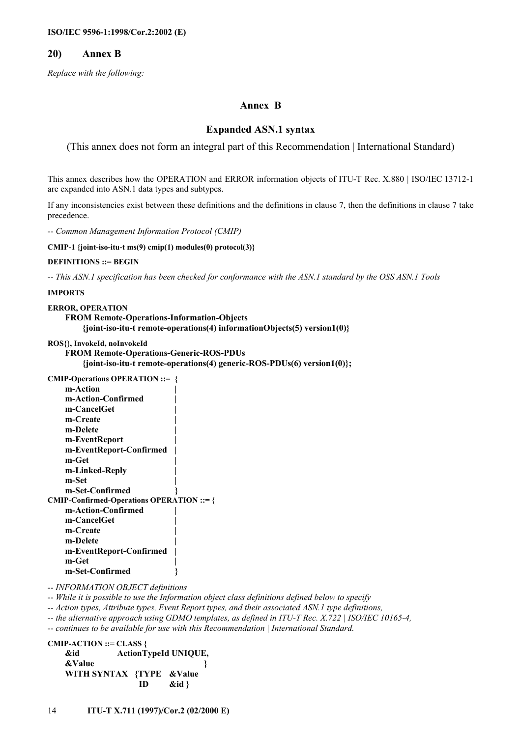#### **20) Annex B**

*Replace with the following:* 

#### **Annex B**

## **Expanded ASN.1 syntax**

(This annex does not form an integral part of this Recommendation | International Standard)

This annex describes how the OPERATION and ERROR information objects of ITU-T Rec. X.880 | ISO/IEC 13712-1 are expanded into ASN.1 data types and subtypes.

If any inconsistencies exist between these definitions and the definitions in clause 7, then the definitions in clause 7 take precedence.

*-- Common Management Information Protocol (CMIP)* 

**CMIP-1 {joint-iso-itu-t ms(9) cmip(1) modules(0) protocol(3)}** 

**DEFINITIONS ::= BEGIN** 

*-- This ASN.1 specification has been checked for conformance with the ASN.1 standard by the OSS ASN.1 Tools* 

#### **IMPORTS**

```
ERROR, OPERATION 
     FROM Remote-Operations-Information-Objects 
          {joint-iso-itu-t remote-operations(4) informationObjects(5) version1(0)}
```

```
ROS{}, InvokeId, noInvokeId
```

```
 FROM Remote-Operations-Generic-ROS-PDUs 
     {joint-iso-itu-t remote-operations(4) generic-ROS-PDUs(6) version1(0)};
```

```
CMIP-Operations OPERATION ::= { 
      m-Action | 
      m-Action-Confirmed | 
      m-CancelGet | 
      m-Create | 
      m-Delete | 
      m-EventReport | 
      m-EventReport-Confirmed | 
      m-Get | 
      m-Linked-Reply | 
      m-Set | 
      m-Set-Confirmed } 
CMIP-Confirmed-Operations OPERATION ::= { 
      m-Action-Confirmed | 
      m-CancelGet | 
      m-Create | 
      m-Delete | 
      m-EventReport-Confirmed | 
      m-Get | 
      m-Set-Confirmed }
```
*-- INFORMATION OBJECT definitions* 

*-- While it is possible to use the Information object class definitions defined below to specify* 

*-- Action types, Attribute types, Event Report types, and their associated ASN.1 type definitions,* 

*-- the alternative approach using GDMO templates, as defined in ITU-T Rec. X.722 | ISO/IEC 10165-4,* 

*-- continues to be available for use with this Recommendation | International Standard.* 

```
CMIP-ACTION ::= CLASS { 
    &id ActionTypeId UNIQUE, 
    &Value } 
    WITH SYNTAX {TYPE &Value 
                    ID &id }
```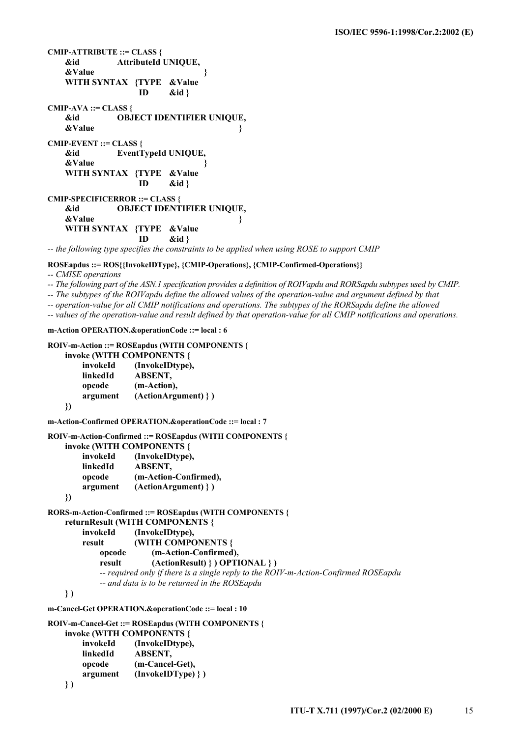```
CMIP-ATTRIBUTE ::= CLASS { 
    &id AttributeId UNIQUE, 
    &Value } 
    WITH SYNTAX {TYPE &Value 
                    ID &id } 
CMIP-AVA ::= CLASS { 
    &id OBJECT IDENTIFIER UNIQUE, 
    &Value } 
CMIP-EVENT ::= CLASS { 
    &id EventTypeId UNIQUE, 
    &Value } 
    WITH SYNTAX {TYPE &Value 
                    ID &id } 
CMIP-SPECIFICERROR ::= CLASS { 
    &id OBJECT IDENTIFIER UNIQUE, 
    &Value } 
    WITH SYNTAX {TYPE &Value 
                    ID &id } 
-- the following type specifies the constraints to be applied when using ROSE to support CMIP
```
## **ROSEapdus ::= ROS{{InvokeIDType}, {CMIP-Operations}, {CMIP-Confirmed-Operations}}**

*-- CMISE operations* 

*-- The following part of the ASN.1 specification provides a definition of ROIVapdu and RORSapdu subtypes used by CMIP.* 

*-- The subtypes of the ROIVapdu define the allowed values of the operation-value and argument defined by that* 

*-- operation-value for all CMIP notifications and operations. The subtypes of the RORSapdu define the allowed* 

*-- values of the operation-value and result defined by that operation-value for all CMIP notifications and operations.* 

**m-Action OPERATION.&operationCode ::= local : 6** 

 **linkedId ABSENT, opcode (m-Cancel-Get), argument (InvokeIDType) } )** 

 **} )** 

```
ROIV-m-Action ::= ROSEapdus (WITH COMPONENTS { 
     invoke (WITH COMPONENTS { 
         invokeId (InvokeIDtype), 
         linkedId ABSENT, 
         opcode (m-Action), 
         argument (ActionArgument) } ) 
     }) 
m-Action-Confirmed OPERATION.&operationCode ::= local : 7 
ROIV-m-Action-Confirmed ::= ROSEapdus (WITH COMPONENTS { 
     invoke (WITH COMPONENTS { 
         invokeId (InvokeIDtype), 
         linkedId ABSENT, 
         opcode (m-Action-Confirmed), 
         argument (ActionArgument) } ) 
     }) 
RORS-m-Action-Confirmed ::= ROSEapdus (WITH COMPONENTS { 
     returnResult (WITH COMPONENTS { 
         invokeId (InvokeIDtype), 
         result (WITH COMPONENTS { 
             opcode (m-Action-Confirmed), 
             result (ActionResult) } ) OPTIONAL } ) 
             -- required only if there is a single reply to the ROIV-m-Action-Confirmed ROSEapdu 
             -- and data is to be returned in the ROSEapdu 
    } ) 
m-Cancel-Get OPERATION.&operationCode ::= local : 10 
ROIV-m-Cancel-Get ::= ROSEapdus (WITH COMPONENTS { 
     invoke (WITH COMPONENTS { 
         invokeId (InvokeIDtype),
```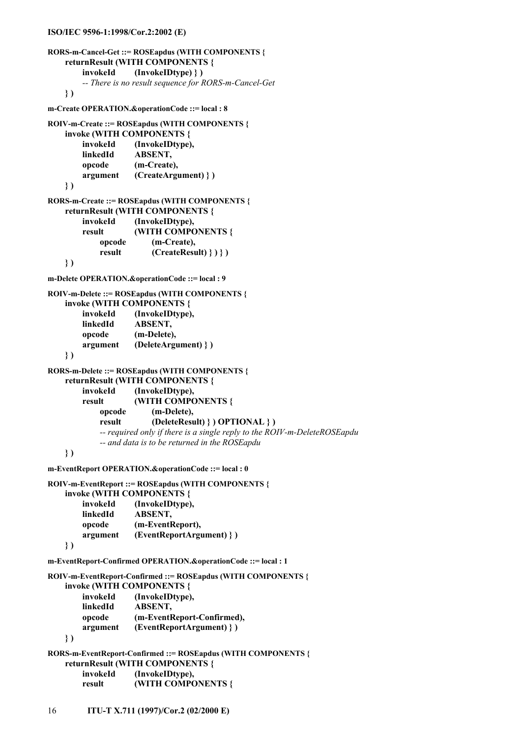```
ISO/IEC 9596-1:1998/Cor.2:2002 (E)
```

```
RORS-m-Cancel-Get ::= ROSEapdus (WITH COMPONENTS { 
     returnResult (WITH COMPONENTS { 
         invokeId (InvokeIDtype) } ) 
         -- There is no result sequence for RORS-m-Cancel-Get 
     } ) 
m-Create OPERATION.&operationCode ::= local : 8 
ROIV-m-Create ::= ROSEapdus (WITH COMPONENTS { 
     invoke (WITH COMPONENTS { 
         invokeId (InvokeIDtype), 
         linkedId ABSENT, 
         opcode (m-Create), 
         argument (CreateArgument) } ) 
     } ) 
RORS-m-Create ::= ROSEapdus (WITH COMPONENTS { 
     returnResult (WITH COMPONENTS { 
         invokeId (InvokeIDtype), 
         result (WITH COMPONENTS { 
             opcode (m-Create), 
             result (CreateResult) } ) } ) 
     } ) 
m-Delete OPERATION.&operationCode ::= local : 9 
ROIV-m-Delete ::= ROSEapdus (WITH COMPONENTS { 
     invoke (WITH COMPONENTS { 
         invokeId (InvokeIDtype), 
         linkedId ABSENT, 
         opcode (m-Delete), 
         argument (DeleteArgument) } ) 
     } ) 
RORS-m-Delete ::= ROSEapdus (WITH COMPONENTS { 
     returnResult (WITH COMPONENTS { 
         invokeId (InvokeIDtype), 
         result (WITH COMPONENTS { 
             opcode (m-Delete), 
             result (DeleteResult) } ) OPTIONAL } ) 
             -- required only if there is a single reply to the ROIV-m-DeleteROSEapdu 
             -- and data is to be returned in the ROSEapdu 
     } ) 
m-EventReport OPERATION.&operationCode ::= local : 0 
ROIV-m-EventReport ::= ROSEapdus (WITH COMPONENTS { 
     invoke (WITH COMPONENTS { 
         invokeId (InvokeIDtype), 
         linkedId ABSENT, 
         opcode (m-EventReport), 
         argument (EventReportArgument) } ) 
     } ) 
m-EventReport-Confirmed OPERATION.&operationCode ::= local : 1 
ROIV-m-EventReport-Confirmed ::= ROSEapdus (WITH COMPONENTS { 
     invoke (WITH COMPONENTS { 
         invokeId (InvokeIDtype), 
         linkedId ABSENT, 
         opcode (m-EventReport-Confirmed), 
         argument (EventReportArgument) } ) 
     } ) 
RORS-m-EventReport-Confirmed ::= ROSEapdus (WITH COMPONENTS { 
     returnResult (WITH COMPONENTS { 
         invokeId (InvokeIDtype), 
         result (WITH COMPONENTS {
```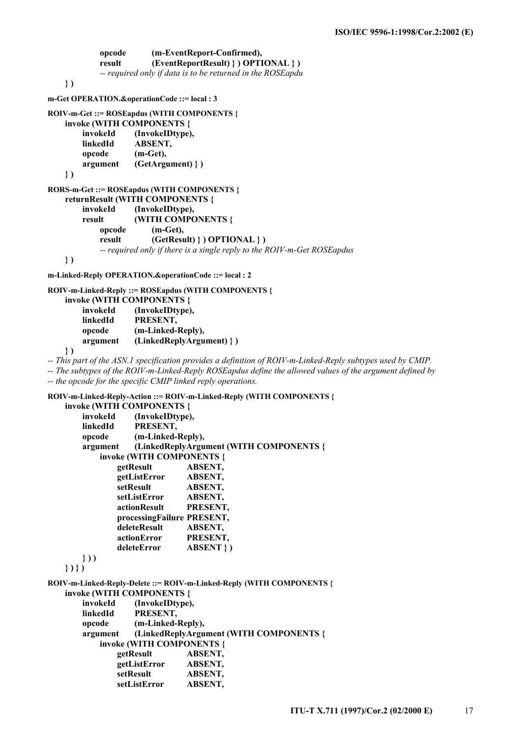**opcode (m-EventReport-Confirmed), result (EventReportResult) } ) OPTIONAL } )**   *-- required only if data is to be returned in the ROSEapdu*  **} ) m-Get OPERATION.&operationCode ::= local : 3 ROIV-m-Get ::= ROSEapdus (WITH COMPONENTS { invoke (WITH COMPONENTS { invokeId (InvokeIDtype), linkedId ABSENT, opcode (m-Get), argument (GetArgument) } ) } ) RORS-m-Get ::= ROSEapdus (WITH COMPONENTS { returnResult (WITH COMPONENTS { invokeId (InvokeIDtype), result (WITH COMPONENTS { opcode (m-Get), result (GetResult) } ) OPTIONAL } )**   *-- required only if there is a single reply to the ROIV-m-Get ROSEapdus*   **} )** 

**m-Linked-Reply OPERATION.&operationCode ::= local : 2** 

```
ROIV-m-Linked-Reply ::= ROSEapdus (WITH COMPONENTS { 
     invoke (WITH COMPONENTS { 
        invokeId (InvokeIDtype), 
        linkedId PRESENT, 
        opcode (m-Linked-Reply), 
        argument (LinkedReplyArgument) } )
```
 **} )** 

*-- This part of the ASN.1 specification provides a definition of ROIV-m-Linked-Reply subtypes used by CMIP.* 

*-- The subtypes of the ROIV-m-Linked-Reply ROSEapdus define the allowed values of the argument defined by -- the opcode for the specific CMIP linked reply operations.* 

**ROIV-m-Linked-Reply-Action ::= ROIV-m-Linked-Reply (WITH COMPONENTS {** 

```
 invoke (WITH COMPONENTS { 
        invokeId (InvokeIDtype), 
        linkedId PRESENT, 
        opcode (m-Linked-Reply), 
        argument (LinkedReplyArgument (WITH COMPONENTS { 
            invoke (WITH COMPONENTS { 
                getResult ABSENT, 
                getListError ABSENT, 
                setResult ABSENT, 
                setListError ABSENT, 
                actionResult PRESENT, 
                processingFailure PRESENT, 
                deleteResult ABSENT, 
                actionError PRESENT, 
                deleteError ABSENT } ) 
        } ) ) 
    } ) } ) 
ROIV-m-Linked-Reply-Delete ::= ROIV-m-Linked-Reply (WITH COMPONENTS { 
    invoke (WITH COMPONENTS { 
        invokeId (InvokeIDtype), 
        linkedId PRESENT, 
        opcode (m-Linked-Reply), 
        argument (LinkedReplyArgument (WITH COMPONENTS { 
            invoke (WITH COMPONENTS { 
                getResult ABSENT, 
                getListError ABSENT, 
                setResult ABSENT, 
                setListError ABSENT,
```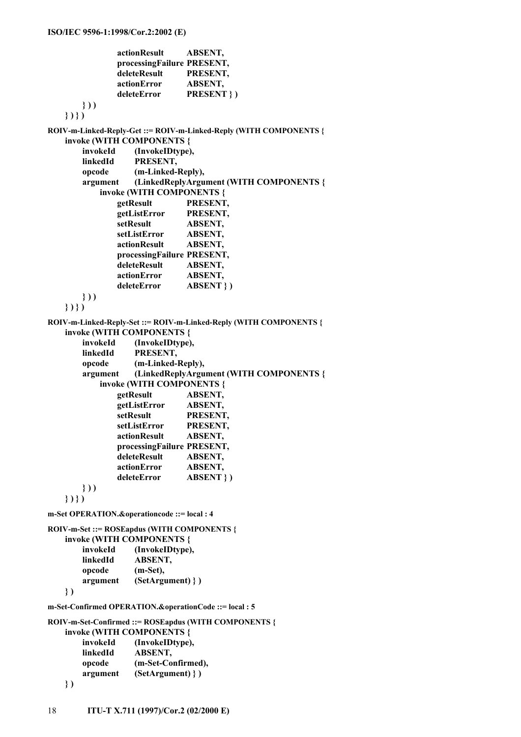```
 actionResult ABSENT, 
 processingFailure PRESENT, 
 deleteResult PRESENT, 
 actionError ABSENT, 
 deleteError PRESENT } )
```
 **} ) ) } ) } ) ROIV-m-Linked-Reply-Get ::= ROIV-m-Linked-Reply (WITH COMPONENTS { invoke (WITH COMPONENTS { invokeId (InvokeIDtype), linkedId PRESENT, opcode (m-Linked-Reply), argument (LinkedReplyArgument (WITH COMPONENTS { invoke (WITH COMPONENTS { getResult PRESENT, getListError PRESENT, setResult ABSENT, setListError ABSENT, actionResult ABSENT, processingFailure PRESENT, deleteResult ABSENT, actionError ABSENT, deleteError ABSENT } ) } ) ) } ) } ) ROIV-m-Linked-Reply-Set ::= ROIV-m-Linked-Reply (WITH COMPONENTS { invoke (WITH COMPONENTS { invokeId (InvokeIDtype), linkedId PRESENT, opcode (m-Linked-Reply), argument (LinkedReplyArgument (WITH COMPONENTS { invoke (WITH COMPONENTS { getResult ABSENT, getListError ABSENT, setResult PRESENT, setListError PRESENT, actionResult ABSENT, processingFailure PRESENT, deleteResult ABSENT, actionError ABSENT, deleteError ABSENT } ) } ) ) } ) } ) m-Set OPERATION.&operationcode ::= local : 4 ROIV-m-Set ::= ROSEapdus (WITH COMPONENTS { invoke (WITH COMPONENTS { invokeId (InvokeIDtype), linkedId ABSENT, opcode (m-Set), argument (SetArgument) } ) } ) m-Set-Confirmed OPERATION.&operationCode ::= local : 5 ROIV-m-Set-Confirmed ::= ROSEapdus (WITH COMPONENTS { invoke (WITH COMPONENTS {** 

| invokeId | (InvokeIDtype),     |
|----------|---------------------|
| linkedId | ABSENT,             |
| opcode   | (m-Set-Confirmed),  |
| argument | $(SetArgument)$ } ) |
|          |                     |

```
 } )
```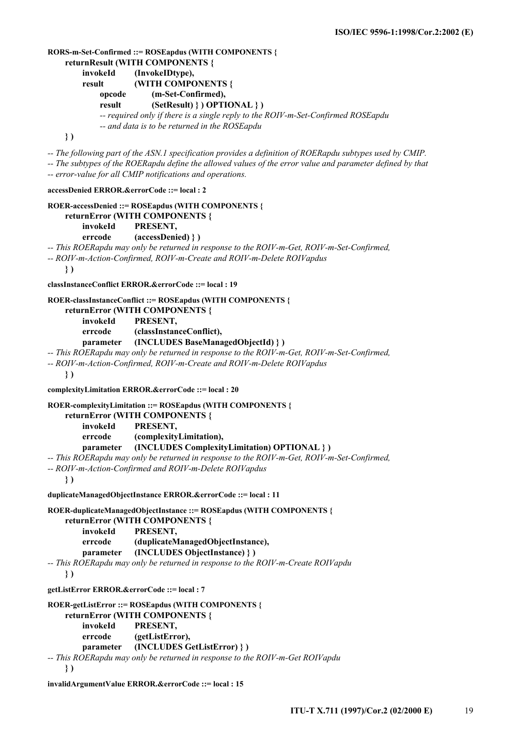```
RORS-m-Set-Confirmed ::= ROSEapdus (WITH COMPONENTS { 
     returnResult (WITH COMPONENTS { 
         invokeId (InvokeIDtype), 
         result (WITH COMPONENTS { 
              opcode (m-Set-Confirmed), 
              result (SetResult) } ) OPTIONAL } ) 
              -- required only if there is a single reply to the ROIV-m-Set-Confirmed ROSEapdu 
              -- and data is to be returned in the ROSEapdu 
     } ) 
-- The following part of the ASN.1 specification provides a definition of ROERapdu subtypes used by CMIP. 
-- The subtypes of the ROERapdu define the allowed values of the error value and parameter defined by that 
-- error-value for all CMIP notifications and operations. 
accessDenied ERROR.&errorCode ::= local : 2 
ROER-accessDenied ::= ROSEapdus (WITH COMPONENTS { 
     returnError (WITH COMPONENTS { 
         invokeId PRESENT, 
         errcode (accessDenied) } ) 
-- This ROERapdu may only be returned in response to the ROIV-m-Get, ROIV-m-Set-Confirmed, 
-- ROIV-m-Action-Confirmed, ROIV-m-Create and ROIV-m-Delete ROIVapdus 
     } ) 
classInstanceConflict ERROR.&errorCode ::= local : 19 
ROER-classInstanceConflict ::= ROSEapdus (WITH COMPONENTS { 
     returnError (WITH COMPONENTS { 
         invokeId PRESENT, 
         errcode (classInstanceConflict), 
         parameter (INCLUDES BaseManagedObjectId) } ) 
-- This ROERapdu may only be returned in response to the ROIV-m-Get, ROIV-m-Set-Confirmed, 
-- ROIV-m-Action-Confirmed, ROIV-m-Create and ROIV-m-Delete ROIVapdus 
     } ) 
complexityLimitation ERROR.&errorCode ::= local : 20 
ROER-complexityLimitation ::= ROSEapdus (WITH COMPONENTS { 
     returnError (WITH COMPONENTS { 
         invokeId PRESENT, 
         errcode (complexityLimitation), 
         parameter (INCLUDES ComplexityLimitation) OPTIONAL } ) 
-- This ROERapdu may only be returned in response to the ROIV-m-Get, ROIV-m-Set-Confirmed, 
-- ROIV-m-Action-Confirmed and ROIV-m-Delete ROIVapdus 
     } ) 
duplicateManagedObjectInstance ERROR.&errorCode ::= local : 11 
ROER-duplicateManagedObjectInstance ::= ROSEapdus (WITH COMPONENTS { 
     returnError (WITH COMPONENTS { 
         invokeId PRESENT, 
         errcode (duplicateManagedObjectInstance), 
         parameter (INCLUDES ObjectInstance) } ) 
-- This ROERapdu may only be returned in response to the ROIV-m-Create ROIVapdu 
     } ) 
getListError ERROR.&errorCode ::= local : 7 
ROER-getListError ::= ROSEapdus (WITH COMPONENTS { 
     returnError (WITH COMPONENTS { 
         invokeId PRESENT, 
         errcode (getListError), 
         parameter (INCLUDES GetListError) } ) 
-- This ROERapdu may only be returned in response to the ROIV-m-Get ROIVapdu
```

```
 } )
```

```
invalidArgumentValue ERROR.&errorCode ::= local : 15
```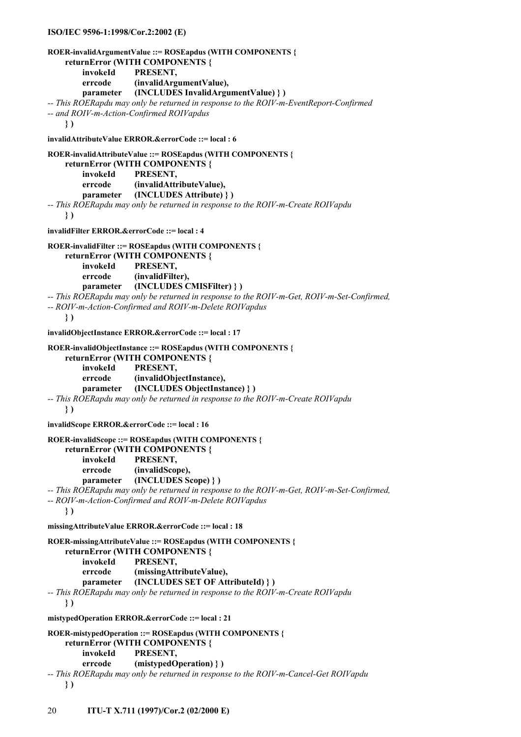#### **ISO/IEC 9596-1:1998/Cor.2:2002 (E)**

```
ROER-invalidArgumentValue ::= ROSEapdus (WITH COMPONENTS { 
     returnError (WITH COMPONENTS { 
         invokeId PRESENT, 
         errcode (invalidArgumentValue), 
         parameter (INCLUDES InvalidArgumentValue) } ) 
-- This ROERapdu may only be returned in response to the ROIV-m-EventReport-Confirmed 
-- and ROIV-m-Action-Confirmed ROIVapdus 
     } ) 
invalidAttributeValue ERROR.&errorCode ::= local : 6 
ROER-invalidAttributeValue ::= ROSEapdus (WITH COMPONENTS { 
     returnError (WITH COMPONENTS { 
         invokeId PRESENT, 
         errcode (invalidAttributeValue), 
         parameter (INCLUDES Attribute) } ) 
-- This ROERapdu may only be returned in response to the ROIV-m-Create ROIVapdu 
     } ) 
invalidFilter ERROR.&errorCode ::= local : 4 
ROER-invalidFilter ::= ROSEapdus (WITH COMPONENTS { 
     returnError (WITH COMPONENTS { 
         invokeId PRESENT, 
         errcode (invalidFilter), 
         parameter (INCLUDES CMISFilter) } ) 
-- This ROERapdu may only be returned in response to the ROIV-m-Get, ROIV-m-Set-Confirmed, 
-- ROIV-m-Action-Confirmed and ROIV-m-Delete ROIVapdus 
     } ) 
invalidObjectInstance ERROR.&errorCode ::= local : 17 
ROER-invalidObjectInstance ::= ROSEapdus (WITH COMPONENTS { 
     returnError (WITH COMPONENTS { 
         invokeId PRESENT, 
         errcode (invalidObjectInstance), 
         parameter (INCLUDES ObjectInstance) } ) 
-- This ROERapdu may only be returned in response to the ROIV-m-Create ROIVapdu 
     } ) 
invalidScope ERROR.&errorCode ::= local : 16 
ROER-invalidScope ::= ROSEapdus (WITH COMPONENTS { 
     returnError (WITH COMPONENTS { 
         invokeId PRESENT, 
         errcode (invalidScope), 
         parameter (INCLUDES Scope) } ) 
-- This ROERapdu may only be returned in response to the ROIV-m-Get, ROIV-m-Set-Confirmed, 
-- ROIV-m-Action-Confirmed and ROIV-m-Delete ROIVapdus 
     } ) 
missingAttributeValue ERROR.&errorCode ::= local : 18 
ROER-missingAttributeValue ::= ROSEapdus (WITH COMPONENTS { 
     returnError (WITH COMPONENTS { 
         invokeId PRESENT, 
         errcode (missingAttributeValue), 
         parameter (INCLUDES SET OF AttributeId) } ) 
-- This ROERapdu may only be returned in response to the ROIV-m-Create ROIVapdu 
     } ) 
mistypedOperation ERROR.&errorCode ::= local : 21 
ROER-mistypedOperation ::= ROSEapdus (WITH COMPONENTS { 
     returnError (WITH COMPONENTS { 
         invokeId PRESENT, 
         errcode (mistypedOperation) } ) 
-- This ROERapdu may only be returned in response to the ROIV-m-Cancel-Get ROIVapdu 
     } )
```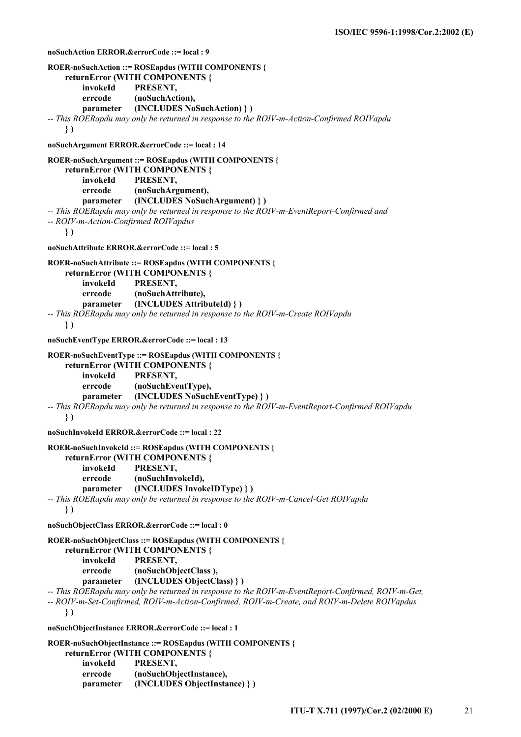```
noSuchAction ERROR.&errorCode ::= local : 9 
ROER-noSuchAction ::= ROSEapdus (WITH COMPONENTS { 
     returnError (WITH COMPONENTS { 
         invokeId PRESENT, 
         errcode (noSuchAction), 
         parameter (INCLUDES NoSuchAction) } ) 
-- This ROERapdu may only be returned in response to the ROIV-m-Action-Confirmed ROIVapdu 
     } ) 
noSuchArgument ERROR.&errorCode ::= local : 14 
ROER-noSuchArgument ::= ROSEapdus (WITH COMPONENTS { 
     returnError (WITH COMPONENTS { 
         invokeId PRESENT, 
         errcode (noSuchArgument), 
         parameter (INCLUDES NoSuchArgument) } ) 
-- This ROERapdu may only be returned in response to the ROIV-m-EventReport-Confirmed and 
-- ROIV-m-Action-Confirmed ROIVapdus 
     } ) 
noSuchAttribute ERROR.&errorCode ::= local : 5 
ROER-noSuchAttribute ::= ROSEapdus (WITH COMPONENTS { 
     returnError (WITH COMPONENTS { 
         invokeId PRESENT, 
         errcode (noSuchAttribute), 
         parameter (INCLUDES AttributeId) } ) 
-- This ROERapdu may only be returned in response to the ROIV-m-Create ROIVapdu 
     } ) 
noSuchEventType ERROR.&errorCode ::= local : 13 
ROER-noSuchEventType ::= ROSEapdus (WITH COMPONENTS { 
     returnError (WITH COMPONENTS { 
         invokeId PRESENT, 
         errcode (noSuchEventType), 
         parameter (INCLUDES NoSuchEventType) } ) 
-- This ROERapdu may only be returned in response to the ROIV-m-EventReport-Confirmed ROIVapdu 
     } ) 
noSuchInvokeId ERROR.&errorCode ::= local : 22 
ROER-noSuchInvokeId ::= ROSEapdus (WITH COMPONENTS { 
     returnError (WITH COMPONENTS { 
         invokeId PRESENT, 
         errcode (noSuchInvokeId), 
         parameter (INCLUDES InvokeIDType) } ) 
-- This ROERapdu may only be returned in response to the ROIV-m-Cancel-Get ROIVapdu 
     } ) 
noSuchObjectClass ERROR.&errorCode ::= local : 0 
ROER-noSuchObjectClass ::= ROSEapdus (WITH COMPONENTS { 
     returnError (WITH COMPONENTS { 
         invokeId PRESENT, 
         errcode (noSuchObjectClass ), 
         parameter (INCLUDES ObjectClass) } ) 
-- This ROERapdu may only be returned in response to the ROIV-m-EventReport-Confirmed, ROIV-m-Get, 
-- ROIV-m-Set-Confirmed, ROIV-m-Action-Confirmed, ROIV-m-Create, and ROIV-m-Delete ROIVapdus 
     } ) 
noSuchObjectInstance ERROR.&errorCode ::= local : 1 
ROER-noSuchObjectInstance ::= ROSEapdus (WITH COMPONENTS { 
     returnError (WITH COMPONENTS { 
         invokeId PRESENT, 
         errcode (noSuchObjectInstance), 
         parameter (INCLUDES ObjectInstance) } )
```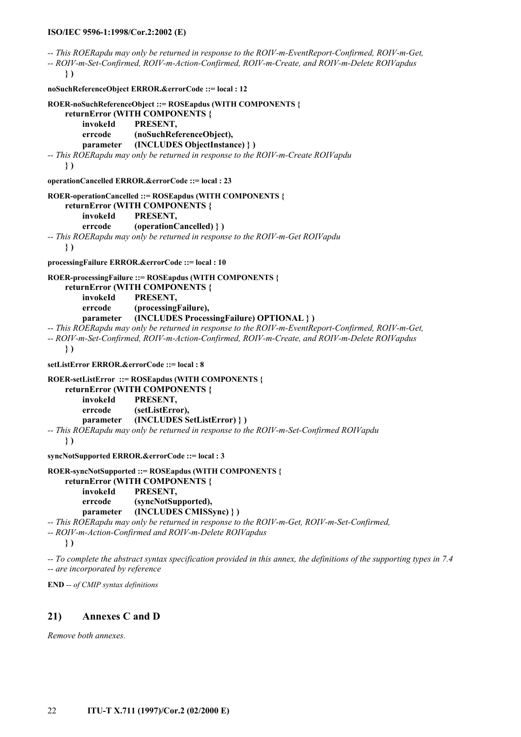**ISO/IEC 9596-1:1998/Cor.2:2002 (E)** *-- This ROERapdu may only be returned in response to the ROIV-m-EventReport-Confirmed, ROIV-m-Get, -- ROIV-m-Set-Confirmed, ROIV-m-Action-Confirmed, ROIV-m-Create, and ROIV-m-Delete ROIVapdus*   **} ) noSuchReferenceObject ERROR.&errorCode ::= local : 12 ROER-noSuchReferenceObject ::= ROSEapdus (WITH COMPONENTS { returnError (WITH COMPONENTS { invokeId PRESENT, errcode (noSuchReferenceObject), parameter (INCLUDES ObjectInstance) } )**  *-- This ROERapdu may only be returned in response to the ROIV-m-Create ROIVapdu*   **} ) operationCancelled ERROR.&errorCode ::= local : 23 ROER-operationCancelled ::= ROSEapdus (WITH COMPONENTS { returnError (WITH COMPONENTS { invokeId PRESENT, errcode (operationCancelled) } )**  *-- This ROERapdu may only be returned in response to the ROIV-m-Get ROIVapdu*   **} ) processingFailure ERROR.&errorCode ::= local : 10 ROER-processingFailure ::= ROSEapdus (WITH COMPONENTS { returnError (WITH COMPONENTS { invokeId PRESENT, errcode (processingFailure), parameter (INCLUDES ProcessingFailure) OPTIONAL } )**  *-- This ROERapdu may only be returned in response to the ROIV-m-EventReport-Confirmed, ROIV-m-Get, -- ROIV-m-Set-Confirmed, ROIV-m-Action-Confirmed, ROIV-m-Create, and ROIV-m-Delete ROIVapdus*   **} ) setListError ERROR.&errorCode ::= local : 8 ROER-setListError ::= ROSEapdus (WITH COMPONENTS { returnError (WITH COMPONENTS { invokeId PRESENT, errcode (setListError), parameter (INCLUDES SetListError) } )**  *-- This ROERapdu may only be returned in response to the ROIV-m-Set-Confirmed ROIVapdu*   **} ) syncNotSupported ERROR.&errorCode ::= local : 3 ROER-syncNotSupported ::= ROSEapdus (WITH COMPONENTS {** 

 **returnError (WITH COMPONENTS { invokeId PRESENT, errcode (syncNotSupported), parameter (INCLUDES CMISSync) } )** 

*-- This ROERapdu may only be returned in response to the ROIV-m-Get, ROIV-m-Set-Confirmed,* 

*-- ROIV-m-Action-Confirmed and ROIV-m-Delete ROIVapdus* 

 **} )** 

*-- To complete the abstract syntax specification provided in this annex, the definitions of the supporting types in 7.4 -- are incorporated by reference* 

**END** *-- of CMIP syntax definitions* 

## **21) Annexes C and D**

*Remove both annexes.*